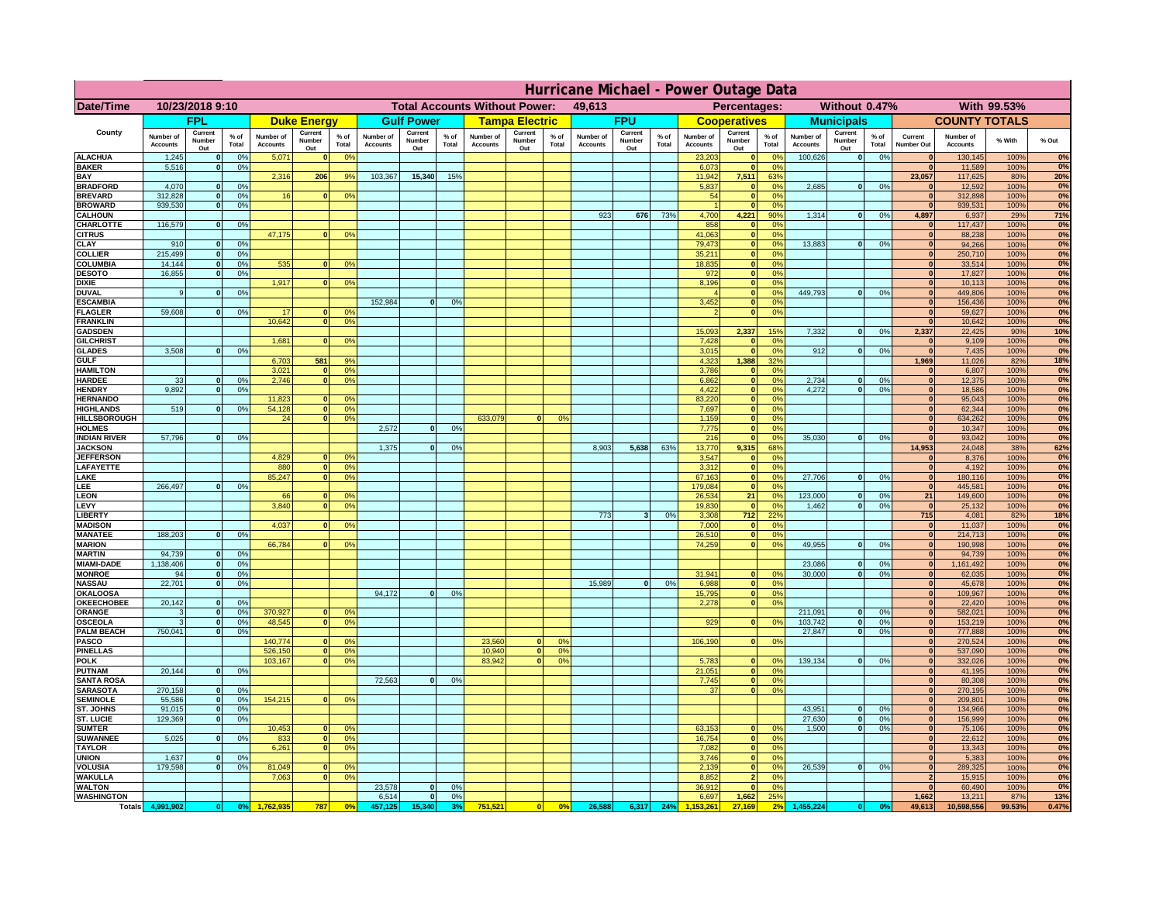|                                    | Hurricane Michael - Power Outage Data |                              |                                  |                              |                                 |                                                |                       |                          |                 |                              |                                              |                                  |                              |                          |               |                              |                              |                                               |                              |                              |                 |                                |                              |              |             |
|------------------------------------|---------------------------------------|------------------------------|----------------------------------|------------------------------|---------------------------------|------------------------------------------------|-----------------------|--------------------------|-----------------|------------------------------|----------------------------------------------|----------------------------------|------------------------------|--------------------------|---------------|------------------------------|------------------------------|-----------------------------------------------|------------------------------|------------------------------|-----------------|--------------------------------|------------------------------|--------------|-------------|
| Date/Time                          | 10/23/2018 9:10                       |                              |                                  |                              |                                 | <b>Total Accounts Without Power:</b><br>49,613 |                       |                          |                 |                              | With 99.53%<br>Percentages:<br>Without 0.47% |                                  |                              |                          |               |                              |                              |                                               |                              |                              |                 |                                |                              |              |             |
|                                    |                                       | <b>FPL</b>                   |                                  |                              | <b>Duke Energy</b>              |                                                |                       | <b>Gulf Power</b>        |                 |                              | <b>Tampa Electric</b>                        |                                  |                              | <b>FPU</b>               |               |                              | <b>Cooperatives</b>          |                                               |                              | <b>Municipals</b>            |                 |                                | <b>COUNTY TOTALS</b>         |              |             |
| County                             | Number of<br><b>Accounts</b>          | Current<br>Number<br>Out     | $%$ of<br>Total                  | Number of<br><b>Accounts</b> | Current<br><b>Number</b><br>Out | $%$ of<br>Total                                | Number of<br>Accounts | Current<br>Number<br>Out | $%$ of<br>Total | Number of<br><b>Accounts</b> | Current<br>Number<br>Out                     | $%$ of<br>Total                  | Number of<br><b>Accounts</b> | Current<br>Number<br>Out | % of<br>Total | Number of<br><b>Accounts</b> | Current<br>Number<br>Out     | $%$ of<br>Total                               | Number of<br><b>Accounts</b> | Current<br>Number<br>Out     | $%$ of<br>Total | Current<br>Number Out          | Number of<br><b>Accounts</b> | % With       | % Out       |
| <b>ALACHUA</b><br><b>BAKER</b>     | 1,245                                 | $\mathbf{0}$<br>$\mathbf{0}$ | 0%<br>0%                         | 5,071                        |                                 | 0 <sup>9</sup>                                 |                       |                          |                 |                              |                                              |                                  |                              |                          |               | 23,203                       | $\bf{0}$<br>$\bf{0}$         | $^{\circ}$<br>0 <sup>9</sup>                  | 100,626                      | 0                            | 0%              | $\Omega$<br>$\mathbf{0}$       | 130,145                      | 100%         | 0%<br>0%    |
| BAY                                | 5,516                                 |                              |                                  | 2,316                        | 206                             | 9%                                             | 103,367               | 15,340                   | 15%             |                              |                                              |                                  |                              |                          |               | 6,073<br>11,942              | 7,511                        | 63%                                           |                              |                              |                 | 23,057                         | 11,589<br>117,625            | 100%<br>80%  | 20%         |
| <b>BRADFORD</b><br><b>BREVARD</b>  | 4,070<br>312.828                      | $\Omega$<br>$\mathbf{0}$     | 0%<br>0 <sup>9</sup>             | 16                           |                                 | 0 <sup>o</sup>                                 |                       |                          |                 |                              |                                              |                                  |                              |                          |               | 5,837<br>54                  | 0 <br> 0                     | 0 <sup>9</sup><br>0 <sup>9</sup>              | 2,685                        | 0                            | 0%              | $\Omega$<br> 0                 | 12,592<br>312,898            | 100%<br>100% | 0%<br>0%    |
| <b>BROWARD</b>                     | 939.530                               | $\mathbf{0}$                 | 0%                               |                              |                                 |                                                |                       |                          |                 |                              |                                              |                                  |                              |                          |               |                              | 0                            | 0%                                            |                              |                              |                 | 0                              | 939,531                      | 100%         | 0%          |
| <b>CALHOUN</b>                     |                                       |                              |                                  |                              |                                 |                                                |                       |                          |                 |                              |                                              |                                  | 923                          | 676                      | 73%           | 4,700                        | 4,221                        | 90%                                           | 1,314                        | 0                            | 0%              | 4,897                          | 6,937                        | 29%          | 71%         |
| CHARLOTTE<br><b>CITRUS</b>         | 116,579                               | $\mathbf{0}$                 | 0%                               | 47,175                       |                                 | 0 <sup>o</sup>                                 |                       |                          |                 |                              |                                              |                                  |                              |                          |               | 858<br>41.063                | $\mathbf{0}$<br> 0           | 0%<br>0 <sup>9</sup>                          |                              |                              |                 | $\mathbf{0}$<br>$\mathbf{0}$   | 117,437<br>88,238            | 100%<br>100% | 0%<br>0%    |
| CLAY                               | 910                                   |                              | 0 <sup>9</sup>                   |                              |                                 |                                                |                       |                          |                 |                              |                                              |                                  |                              |                          |               | 79,473                       | 0                            | 0%                                            | 13,883                       | 0                            | 0%              | $\bf{0}$                       | 94,266                       | 100%         | 0%          |
| <b>COLLIER</b>                     | 215,499                               |                              | 0%                               |                              |                                 |                                                |                       |                          |                 |                              |                                              |                                  |                              |                          |               | 35,211                       | 0                            | 0 <sup>9</sup>                                |                              |                              |                 | $\mathbf{0}$                   | 250,710                      | 100%         | 0%          |
| COLUMBIA<br><b>DESOTO</b>          | 14,144<br>16,855                      |                              | 0%<br>0%                         | 535                          |                                 | 0 <sup>o</sup>                                 |                       |                          |                 |                              |                                              |                                  |                              |                          |               | 18,835<br>972                | 0 <br> 0                     | 0 <sup>9</sup><br>0 <sup>9</sup>              |                              |                              |                 | $\mathbf{0}$                   | 33,514<br>17,827             | 100%<br>100% | 0%<br>0%    |
| <b>DIXIE</b>                       |                                       |                              |                                  | 1,917                        |                                 | 0 <sup>o</sup>                                 |                       |                          |                 |                              |                                              |                                  |                              |                          |               | 8,196                        | 0                            | 0 <sup>9</sup>                                |                              |                              |                 |                                | 10,113                       | 100%         | 0%          |
| <b>DUVAL</b>                       | 9                                     |                              | 0 <sup>9</sup>                   |                              |                                 |                                                |                       |                          |                 |                              |                                              |                                  |                              |                          |               |                              | 0                            | 0 <sup>9</sup>                                | 449,793                      | 0                            | 0%              | $\mathbf{0}$                   | 449,806                      | 100%         | 0%          |
| <b>ESCAMBIA</b><br><b>FLAGLER</b>  | 59,608                                | $\mathbf{0}$                 | 0 <sup>9</sup>                   | 17                           |                                 | 0 <sup>9</sup>                                 | 152,984               | $\Omega$                 | 0 <sup>9</sup>  |                              |                                              |                                  |                              |                          |               | 3,452                        | $\mathbf{0}$<br>$\mathbf{0}$ | 0 <sup>o</sup><br>0 <sup>9</sup>              |                              |                              |                 | $\mathbf{0}$<br>$\mathbf{0}$   | 156,436<br>59,627            | 100%<br>100% | 0%<br>0%    |
| <b>FRANKLIN</b>                    |                                       |                              |                                  | 10,642                       |                                 | 0 <sup>9</sup>                                 |                       |                          |                 |                              |                                              |                                  |                              |                          |               |                              |                              |                                               |                              |                              |                 | $\mathbf{0}$                   | 10,642                       | 100%         | 0%          |
| <b>GADSDEN</b>                     |                                       |                              |                                  |                              |                                 |                                                |                       |                          |                 |                              |                                              |                                  |                              |                          |               | 15,093                       | 2,337                        | 15%                                           | 7,332                        | 0                            | 0%              | 2,337                          | 22,425                       | 90%          | 10%         |
| <b>GILCHRIST</b><br><b>GLADES</b>  | 3.508                                 |                              | 0%                               | 1.681                        |                                 | 0 <sup>9</sup>                                 |                       |                          |                 |                              |                                              |                                  |                              |                          |               | 7,428<br>3,015               | 0 <br> 0                     | 0 <sup>9</sup><br>0%                          | 912                          | 0                            | 0%              | $\mathbf{0}$<br>$\mathbf{0}$   | 9,109<br>7,435               | 100%<br>100% | 0%<br>0%    |
| <b>GULF</b>                        |                                       |                              |                                  | 6,703                        | 581                             | 9%                                             |                       |                          |                 |                              |                                              |                                  |                              |                          |               | 4,323                        | 1,388                        | 32%                                           |                              |                              |                 | 1,969                          | 11,026                       | 82%          | 18%         |
| <b>HAMILTON</b>                    |                                       |                              |                                  | 3,021                        |                                 | 0 <sup>9</sup>                                 |                       |                          |                 |                              |                                              |                                  |                              |                          |               | 3,786                        | 0                            | 0%                                            |                              |                              |                 | 0                              | 6,807                        | 100%         | 0%          |
| <b>HARDEE</b><br><b>HENDRY</b>     | 33<br>9.892                           | $\mathbf{0}$<br>$\Omega$     | 0%<br>0 <sup>9</sup>             | 2,746                        |                                 | 0 <sup>9</sup>                                 |                       |                          |                 |                              |                                              |                                  |                              |                          |               | 6,862<br>4,422               |                              | 0 <br>0%<br> 0 <br>0%                         | 2,734<br>4.272               | $\mathbf{0}$<br> 0           | 0%<br>0%        | 0 <br> 0                       | 12,375<br>18,586             | 100%<br>100% | 0%<br>0%    |
| <b>HERNANDO</b>                    |                                       |                              |                                  | 11,823                       |                                 | 0 <sup>o</sup>                                 |                       |                          |                 |                              |                                              |                                  |                              |                          |               | 83,220                       |                              | 0 <br>0 <sup>9</sup>                          |                              |                              |                 | 0                              | 95,043                       | 100%         | 0%          |
| <b>HIGHLANDS</b>                   | 519                                   | $\Omega$                     | 0%                               | 54,128                       |                                 | 0%                                             |                       |                          |                 |                              |                                              |                                  |                              |                          |               | 7,697                        |                              | 0 <br>0 <sup>9</sup>                          |                              |                              |                 | 0                              | 62,344                       | 100%         | 0%          |
| HILLSBOROUGH<br><b>HOLMES</b>      |                                       |                              |                                  | 24                           |                                 | 0 <sup>o</sup>                                 | 2,572                 | $\Omega$                 | 0 <sup>9</sup>  | 633,079                      | $\Omega$                                     | 0 <sup>9</sup>                   |                              |                          |               | 1,159<br>7,775               |                              | 0 <br>0 <sup>9</sup><br> 0 <br>0 <sup>9</sup> |                              |                              |                 | 0 <br>$\mathbf{0}$             | 634,262<br>10,347            | 100%<br>100% | 0%<br>0%    |
| <b>INDIAN RIVER</b>                | 57,796                                |                              | 0%                               |                              |                                 |                                                |                       |                          |                 |                              |                                              |                                  |                              |                          |               | 216                          | 0                            | 0 <sup>9</sup>                                | 35.030                       | 0                            | 0%              | $\mathbf{0}$                   | 93,042                       | 100%         | 0%          |
| <b>JACKSON</b>                     |                                       |                              |                                  |                              |                                 |                                                | 1,375                 | $\Omega$                 | 0 <sup>9</sup>  |                              |                                              |                                  | 8,903                        | 5,638                    | 63%           | 13,770                       | 9,315                        | 68%                                           |                              |                              |                 | 14,953                         | 24,048                       | 38%          | 62%         |
| <b>JEFFERSON</b><br>LAFAYETTE      |                                       |                              |                                  | 4.829<br>880                 | n.                              | 0 <sup>9</sup><br>0 <sup>9</sup>               |                       |                          |                 |                              |                                              |                                  |                              |                          |               | 3.547<br>3.312               | $\mathbf{0}$                 | 0 <sup>9</sup><br>$\overline{0}$<br>0%        |                              |                              |                 | $\mathbf{0}$<br> 0             | 8,376<br>4.192               | 100%<br>100% | 0%<br>0%    |
| LAKE                               |                                       |                              |                                  | 85,247                       |                                 | 0%                                             |                       |                          |                 |                              |                                              |                                  |                              |                          |               | 67,163                       |                              | 0 <br>0%                                      | 27,706                       | $\mathbf{0}$                 | 0%              | 0                              | 180,116                      | 100%         | 0%          |
| LEE                                | 266,497                               |                              | 0%                               |                              |                                 |                                                |                       |                          |                 |                              |                                              |                                  |                              |                          |               | 179,084                      |                              | 0 <br>0%                                      |                              |                              |                 | 0                              | 445,581                      | 100%         | 0%          |
| <b>LEON</b><br>LEVY                |                                       |                              |                                  | 66<br>3,840                  |                                 | 0 <sup>9</sup><br>0 <sup>o</sup>               |                       |                          |                 |                              |                                              |                                  |                              |                          |               | 26,534<br>19,830             | 21<br> 0                     | 0%<br>0%                                      | 123,000<br>1,462             | $\mathbf{0}$<br>$\mathbf{0}$ | 0%<br>0%        | 21<br> 0                       | 149,600<br>25,132            | 100%<br>100% | $0\%$<br>0% |
| <b>LIBERT</b>                      |                                       |                              |                                  |                              |                                 |                                                |                       |                          |                 |                              |                                              |                                  | 773                          | $\overline{\mathbf{3}}$  | 0%            | 3,308                        | 712                          | 22%                                           |                              |                              |                 | 715                            | 4,081                        | 82%          | 18%         |
| <b>MADISON</b>                     |                                       |                              |                                  | 4,037                        |                                 | 0 <sup>o</sup>                                 |                       |                          |                 |                              |                                              |                                  |                              |                          |               | 7,000                        |                              | 0 <br>0%                                      |                              |                              |                 | 0                              | 11,037                       | 100%         | 0%          |
| <b>MANATEE</b><br><b>MARION</b>    | 188,203                               | $\mathbf{0}$                 | 0 <sup>9</sup>                   | 66,784                       |                                 | 0 <sup>9</sup>                                 |                       |                          |                 |                              |                                              |                                  |                              |                          |               | 26,510<br>74,259             |                              | 0%<br> 0 <br>0%<br> 0                         | 49,955                       | 0                            | 0%              | 0 <br> 0                       | 214,713<br>190,998           | 100%<br>100% | 0%<br>0%    |
| <b>MARTIN</b>                      | 94,739                                | $\mathbf{0}$                 | 0%                               |                              |                                 |                                                |                       |                          |                 |                              |                                              |                                  |                              |                          |               |                              |                              |                                               |                              |                              |                 | 0                              | 94,739                       | 100%         | 0%          |
| <b>MIAMI-DADE</b>                  | 1,138,406                             | 0                            | 0%                               |                              |                                 |                                                |                       |                          |                 |                              |                                              |                                  |                              |                          |               |                              |                              |                                               | 23,086                       | 0                            | 0%              | 0                              | 1,161,492                    | 100%         | 0%          |
| <b>MONROE</b><br><b>NASSAU</b>     | 94<br>22,701                          | -ol<br> 0                    | 0%<br>0%                         |                              |                                 |                                                |                       |                          |                 |                              |                                              |                                  | 15,989                       | 0                        | 0%            | 31,941<br>6,988              | $\mathbf{0}$                 | 0 <sup>9</sup><br> 0 <br>0%                   | 30,000                       | 0                            | 0%              | $\mathbf{0}$<br> 0             | 62,035<br>45,678             | 100%<br>100% | 0%<br>0%    |
| <b>OKALOOSA</b>                    |                                       |                              |                                  |                              |                                 |                                                | 94,172                | 0                        | 0%              |                              |                                              |                                  |                              |                          |               | 15,795                       |                              | 0%<br> 0                                      |                              |                              |                 | 0                              | 109,967                      | 100%         | 0%          |
| <b>OKEECHOBEE</b>                  | 20,142                                | 0                            | 0%                               |                              |                                 |                                                |                       |                          |                 |                              |                                              |                                  |                              |                          |               | 2,278                        |                              | 0%<br> 0                                      |                              |                              |                 | 0                              | 22,420                       | 100%         | 0%          |
| ORANGE<br><b>OSCEOLA</b>           | 3<br>3                                | 0 <br> 0                     | 0%<br>0%                         | 370,927<br>48,545            | $\mathbf{0}$                    | 0 <sup>9</sup><br>0%                           |                       |                          |                 |                              |                                              |                                  |                              |                          |               | 929                          |                              | 0 <br>0%                                      | 211,091<br>103,742           | 0 <br> 0                     | 0%<br>0%        | 0 <br> 0                       | 582,021<br>153,219           | 100%<br>100% | 0%<br>0%    |
| <b>PALM BEACH</b>                  | 750,041                               | 0                            | 0%                               |                              |                                 |                                                |                       |                          |                 |                              |                                              |                                  |                              |                          |               |                              |                              |                                               | 27,847                       | 0                            | 0%              | 0                              | 777,888                      | 100%         | 0%          |
| <b>PASCO</b>                       |                                       |                              |                                  | 140,774                      |                                 | 0 <sup>9</sup>                                 |                       |                          |                 | 23,560                       | $\mathbf{0}$                                 | O <sup>o</sup>                   |                              |                          |               | 106,190                      |                              | 0%<br> 0                                      |                              |                              |                 | 0                              | 270,524                      | 100%         | 0%          |
| <b>PINELLAS</b><br><b>POLK</b>     |                                       |                              |                                  | 526,150<br>103,167           | $\mathbf{0}$<br>$\Omega$        | 0%<br>0 <sup>9</sup>                           |                       |                          |                 | 10,940<br>83,942             | 0 <br>$\Omega$                               | 0 <sup>9</sup><br>0 <sup>o</sup> |                              |                          |               | 5,783                        |                              | 0 <br>$^{\circ}$                              | 139,134                      | 0                            | 0%              | 0 <br> 0                       | 537,090<br>332,026           | 100%<br>100% | 0%<br>0%    |
| <b>PUTNAM</b>                      | 20,144                                | 0                            | 0%                               |                              |                                 |                                                |                       |                          |                 |                              |                                              |                                  |                              |                          |               | 21,051                       |                              | 0 <sup>9</sup><br> 0                          |                              |                              |                 | 0                              | 41,195                       | 100%         | 0%          |
| <b>SANTA ROSA</b>                  |                                       |                              |                                  |                              |                                 |                                                | 72,563                | 0                        | 0%              |                              |                                              |                                  |                              |                          |               | 7,745                        |                              | 0 <sup>9</sup><br> 0                          |                              |                              |                 | $\Omega$                       | 80,308                       | 100%         | 0%          |
| <b>SARASOTA</b><br><b>SEMINOLE</b> | 270,158<br>55,586                     | 0 <br> 0                     | 0 <sup>9</sup><br>0 <sup>9</sup> | 154,215                      | $\mathbf{0}$                    | 0 <sup>9</sup>                                 |                       |                          |                 |                              |                                              |                                  |                              |                          |               | 37                           |                              | 0%<br> 0                                      |                              |                              |                 | $\mathbf{0}$<br> 0             | 270,195<br>209,801           | 100%<br>100% | 0%<br>0%    |
| ST. JOHNS                          | 91,015                                | 0                            | 0%                               |                              |                                 |                                                |                       |                          |                 |                              |                                              |                                  |                              |                          |               |                              |                              |                                               | 43,951                       | 0                            | 0%              | $\mathbf{0}$                   | 134,966                      | 100%         | 0%          |
| ST. LUCIE                          | 129,369                               | $\mathbf{0}$                 | 0%                               |                              |                                 |                                                |                       |                          |                 |                              |                                              |                                  |                              |                          |               |                              |                              |                                               | 27,630                       | 0                            | 0%              | $\mathbf{0}$                   | 156,999                      | 100%         | 0%          |
| <b>SUMTER</b><br><b>SUWANNEE</b>   | 5,025                                 | $\Omega$                     | 0%                               | 10,453<br>833                | $\mathbf{0}$                    | 0 <sup>9</sup><br>0 <sup>9</sup>               |                       |                          |                 |                              |                                              |                                  |                              |                          |               | 63,153<br>16,754             | $\mathbf{0}$                 | 0 <sup>9</sup><br> 0 <br>0%                   | 1.500                        | 0                            | 0%              | $\Omega$<br>$\mathbf{0}$       | 75,106<br>22,612             | 100%<br>100% | 0%<br>0%    |
| <b>TAYLOR</b>                      |                                       |                              |                                  | 6,261                        |                                 | 0%                                             |                       |                          |                 |                              |                                              |                                  |                              |                          |               | 7,082                        | 0                            | 0%                                            |                              |                              |                 | 0                              | 13,343                       | 100%         | 0%          |
| <b>UNION</b>                       | 1.637                                 | $\mathbf{0}$                 | 0%                               |                              |                                 |                                                |                       |                          |                 |                              |                                              |                                  |                              |                          |               | 3.746                        |                              | 0%<br> 0                                      |                              |                              |                 | $\mathbf{0}$                   | 5,383                        | 100%         | $0\%$       |
| <b>VOLUSIA</b><br><b>WAKULLA</b>   | 179.598                               | $\mathbf{0}$                 | 0%                               | 81,049<br>7,063              |                                 | 0 <sup>9</sup><br>0 <sup>o</sup>               |                       |                          |                 |                              |                                              |                                  |                              |                          |               | 2.139<br>8,852               | $\overline{2}$               | 0 <br>0%<br>0%                                | 26.539                       | 0                            | 0%              | $\mathbf{0}$<br>$\overline{2}$ | 289,325<br>15,915            | 100%<br>100% | 0%<br>0%    |
| <b>WALTON</b>                      |                                       |                              |                                  |                              |                                 |                                                | 23,578                | 0                        | 0 <sup>9</sup>  |                              |                                              |                                  |                              |                          |               | 36,912                       | 0                            | 0%                                            |                              |                              |                 | 0                              | 60,490                       | 100%         | 0%          |
| <b>WASHINGTON</b>                  |                                       |                              |                                  |                              |                                 |                                                | 6,514                 | 0                        | 0%              |                              |                                              |                                  |                              |                          |               | 6,697                        | 1,662                        | 25%                                           |                              |                              |                 | 1,662                          | 13,211                       | 87%          | 13%         |
| <b>Totals</b>                      | 4,991,902                             | 0                            | 0 <sup>o</sup>                   |                              | 787                             | 0 <sup>5</sup>                                 | 457,125               | 15,340                   |                 | 751,521                      | 0                                            | 0%                               | 26,588                       | 6,317                    | 24%           |                              | 27.169                       |                                               | 455,224                      |                              | 0 <sup>o</sup>  | 49,613                         | 10,598,556                   | 99.53%       | 0.47%       |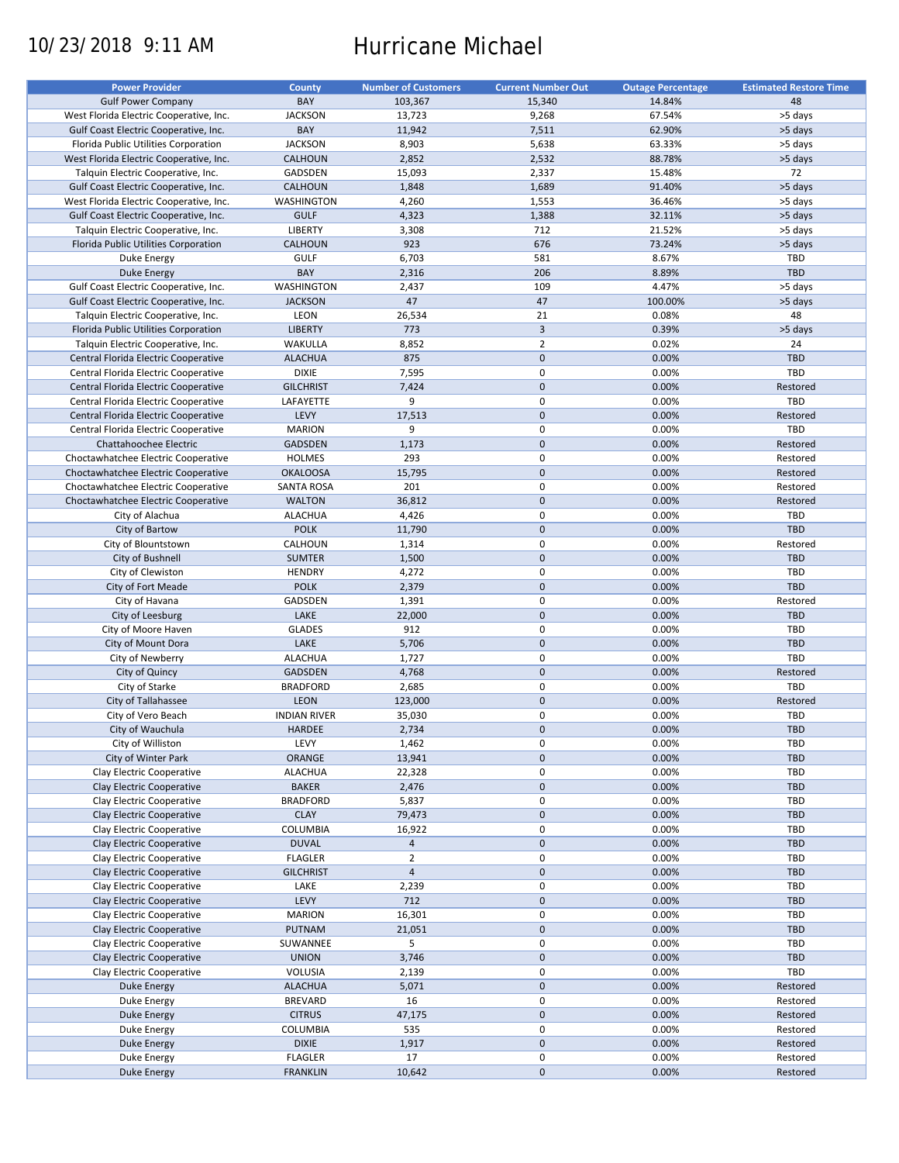# 10/23/2018 9:11 AM Hurricane Michael

| <b>Power Provider</b>                   | County              | <b>Number of Customers</b> | <b>Current Number Out</b> | <b>Outage Percentage</b> | <b>Estimated Restore Time</b> |
|-----------------------------------------|---------------------|----------------------------|---------------------------|--------------------------|-------------------------------|
| <b>Gulf Power Company</b>               | BAY                 | 103,367                    | 15,340                    | 14.84%                   | 48                            |
| West Florida Electric Cooperative, Inc. | <b>JACKSON</b>      | 13,723                     | 9,268                     | 67.54%                   | >5 days                       |
| Gulf Coast Electric Cooperative, Inc.   | BAY                 | 11,942                     | 7,511                     | 62.90%                   | >5 days                       |
|                                         |                     |                            |                           |                          |                               |
| Florida Public Utilities Corporation    | <b>JACKSON</b>      | 8,903                      | 5,638                     | 63.33%                   | >5 days                       |
| West Florida Electric Cooperative, Inc. | <b>CALHOUN</b>      | 2,852                      | 2,532                     | 88.78%                   | >5 days                       |
| Talquin Electric Cooperative, Inc.      | GADSDEN             | 15,093                     | 2,337                     | 15.48%                   | 72                            |
| Gulf Coast Electric Cooperative, Inc.   | <b>CALHOUN</b>      | 1,848                      | 1,689                     | 91.40%                   | >5 days                       |
| West Florida Electric Cooperative, Inc. | <b>WASHINGTON</b>   | 4,260                      | 1,553                     | 36.46%                   | >5 days                       |
| Gulf Coast Electric Cooperative, Inc.   | <b>GULF</b>         | 4,323                      | 1,388                     | 32.11%                   | >5 days                       |
| Talquin Electric Cooperative, Inc.      | LIBERTY             | 3,308                      | 712                       | 21.52%                   | >5 days                       |
| Florida Public Utilities Corporation    | <b>CALHOUN</b>      | 923                        | 676                       | 73.24%                   | >5 days                       |
|                                         | <b>GULF</b>         |                            | 581                       | 8.67%                    |                               |
| Duke Energy                             |                     | 6,703                      |                           |                          | <b>TBD</b>                    |
| Duke Energy                             | BAY                 | 2,316                      | 206                       | 8.89%                    | TBD                           |
| Gulf Coast Electric Cooperative, Inc.   | <b>WASHINGTON</b>   | 2,437                      | 109                       | 4.47%                    | >5 days                       |
| Gulf Coast Electric Cooperative, Inc.   | <b>JACKSON</b>      | 47                         | 47                        | 100.00%                  | >5 days                       |
| Talquin Electric Cooperative, Inc.      | LEON                | 26,534                     | 21                        | 0.08%                    | 48                            |
| Florida Public Utilities Corporation    | <b>LIBERTY</b>      | 773                        | $\overline{3}$            | 0.39%                    | >5 days                       |
| Talquin Electric Cooperative, Inc.      | <b>WAKULLA</b>      | 8,852                      | $\overline{2}$            | 0.02%                    | 24                            |
| Central Florida Electric Cooperative    | <b>ALACHUA</b>      | 875                        | $\mathbf 0$               | 0.00%                    | <b>TBD</b>                    |
|                                         | <b>DIXIE</b>        | 7,595                      | $\pmb{0}$                 | 0.00%                    | <b>TBD</b>                    |
| Central Florida Electric Cooperative    |                     |                            |                           |                          |                               |
| Central Florida Electric Cooperative    | <b>GILCHRIST</b>    | 7,424                      | $\mathbf 0$               | 0.00%                    | Restored                      |
| Central Florida Electric Cooperative    | LAFAYETTE           | 9                          | $\pmb{0}$                 | 0.00%                    | TBD                           |
| Central Florida Electric Cooperative    | LEVY                | 17,513                     | $\mathbf 0$               | 0.00%                    | Restored                      |
| Central Florida Electric Cooperative    | <b>MARION</b>       | 9                          | 0                         | 0.00%                    | TBD                           |
| Chattahoochee Electric                  | <b>GADSDEN</b>      | 1,173                      | $\mathbf 0$               | 0.00%                    | Restored                      |
| Choctawhatchee Electric Cooperative     | <b>HOLMES</b>       | 293                        | $\pmb{0}$                 | 0.00%                    | Restored                      |
| Choctawhatchee Electric Cooperative     | <b>OKALOOSA</b>     | 15,795                     | $\mathbf 0$               | 0.00%                    | Restored                      |
| Choctawhatchee Electric Cooperative     | <b>SANTA ROSA</b>   | 201                        | 0                         | 0.00%                    | Restored                      |
|                                         |                     |                            | $\mathbf{0}$              | 0.00%                    |                               |
| Choctawhatchee Electric Cooperative     | <b>WALTON</b>       | 36,812                     |                           |                          | Restored                      |
| City of Alachua                         | <b>ALACHUA</b>      | 4,426                      | 0                         | 0.00%                    | <b>TBD</b>                    |
| City of Bartow                          | <b>POLK</b>         | 11,790                     | $\mathbf 0$               | 0.00%                    | TBD                           |
| City of Blountstown                     | CALHOUN             | 1,314                      | 0                         | 0.00%                    | Restored                      |
| City of Bushnell                        | <b>SUMTER</b>       | 1,500                      | $\mathbf 0$               | 0.00%                    | <b>TBD</b>                    |
| City of Clewiston                       | <b>HENDRY</b>       | 4,272                      | $\pmb{0}$                 | 0.00%                    | <b>TBD</b>                    |
| City of Fort Meade                      | <b>POLK</b>         | 2,379                      | $\mathbf 0$               | 0.00%                    | TBD                           |
| City of Havana                          | GADSDEN             | 1,391                      | $\pmb{0}$                 | 0.00%                    | Restored                      |
| City of Leesburg                        | LAKE                | 22,000                     | $\mathbf 0$               | 0.00%                    | <b>TBD</b>                    |
|                                         |                     | 912                        | $\pmb{0}$                 |                          | <b>TBD</b>                    |
| City of Moore Haven                     | <b>GLADES</b>       |                            |                           | 0.00%                    |                               |
| City of Mount Dora                      | LAKE                | 5,706                      | $\mathbf 0$               | 0.00%                    | TBD                           |
| City of Newberry                        | <b>ALACHUA</b>      | 1,727                      | 0                         | 0.00%                    | TBD                           |
| City of Quincy                          | GADSDEN             | 4,768                      | $\mathbf 0$               | 0.00%                    | Restored                      |
| City of Starke                          | <b>BRADFORD</b>     | 2,685                      | $\mathbf 0$               | 0.00%                    | TBD                           |
| City of Tallahassee                     | <b>LEON</b>         | 123,000                    | $\mathbf 0$               | 0.00%                    | Restored                      |
| City of Vero Beach                      | <b>INDIAN RIVER</b> | 35,030                     | 0                         | 0.00%                    | TBD                           |
| City of Wauchula                        | <b>HARDEE</b>       | 2,734                      | $\mathbf 0$               | 0.00%                    | <b>TBD</b>                    |
| City of Williston                       | LEVY                | 1,462                      | 0                         | 0.00%                    | <b>TBD</b>                    |
|                                         |                     |                            |                           |                          |                               |
| City of Winter Park                     | ORANGE              | 13,941                     | $\pmb{0}$                 | 0.00%                    | <b>TBD</b>                    |
| Clay Electric Cooperative               | <b>ALACHUA</b>      | 22,328                     | 0                         | 0.00%                    | <b>TBD</b>                    |
| Clay Electric Cooperative               | <b>BAKER</b>        | 2,476                      | $\pmb{0}$                 | 0.00%                    | <b>TBD</b>                    |
| Clay Electric Cooperative               | <b>BRADFORD</b>     | 5,837                      | 0                         | 0.00%                    | <b>TBD</b>                    |
| Clay Electric Cooperative               | <b>CLAY</b>         | 79,473                     | $\pmb{0}$                 | 0.00%                    | <b>TBD</b>                    |
| Clay Electric Cooperative               | COLUMBIA            | 16,922                     | 0                         | 0.00%                    | TBD                           |
| Clay Electric Cooperative               | <b>DUVAL</b>        | $\overline{a}$             | $\pmb{0}$                 | 0.00%                    | TBD                           |
| Clay Electric Cooperative               | <b>FLAGLER</b>      | $\overline{2}$             | 0                         | 0.00%                    | <b>TBD</b>                    |
|                                         |                     |                            |                           |                          |                               |
| Clay Electric Cooperative               | <b>GILCHRIST</b>    | $\overline{a}$             | $\pmb{0}$                 | 0.00%                    | <b>TBD</b>                    |
| Clay Electric Cooperative               | LAKE                | 2,239                      | 0                         | 0.00%                    | TBD                           |
| Clay Electric Cooperative               | LEVY                | 712                        | $\pmb{0}$                 | 0.00%                    | <b>TBD</b>                    |
| Clay Electric Cooperative               | <b>MARION</b>       | 16,301                     | 0                         | 0.00%                    | <b>TBD</b>                    |
| Clay Electric Cooperative               | PUTNAM              | 21,051                     | $\pmb{0}$                 | 0.00%                    | <b>TBD</b>                    |
| Clay Electric Cooperative               | SUWANNEE            | 5                          | 0                         | 0.00%                    | TBD                           |
| Clay Electric Cooperative               | <b>UNION</b>        | 3,746                      | $\pmb{0}$                 | 0.00%                    | TBD                           |
| Clay Electric Cooperative               | VOLUSIA             | 2,139                      | 0                         | 0.00%                    | TBD                           |
|                                         |                     |                            | $\pmb{0}$                 |                          |                               |
| Duke Energy                             | <b>ALACHUA</b>      | 5,071                      |                           | 0.00%                    | Restored                      |
| Duke Energy                             | <b>BREVARD</b>      | 16                         | 0                         | 0.00%                    | Restored                      |
| Duke Energy                             | <b>CITRUS</b>       | 47,175                     | 0                         | 0.00%                    | Restored                      |
| Duke Energy                             | COLUMBIA            | 535                        | 0                         | 0.00%                    | Restored                      |
| Duke Energy                             | <b>DIXIE</b>        | 1,917                      | $\pmb{0}$                 | 0.00%                    | Restored                      |
| Duke Energy                             | <b>FLAGLER</b>      | 17                         | 0                         | 0.00%                    | Restored                      |
| Duke Energy                             | <b>FRANKLIN</b>     | 10,642                     | $\pmb{0}$                 | 0.00%                    | Restored                      |
|                                         |                     |                            |                           |                          |                               |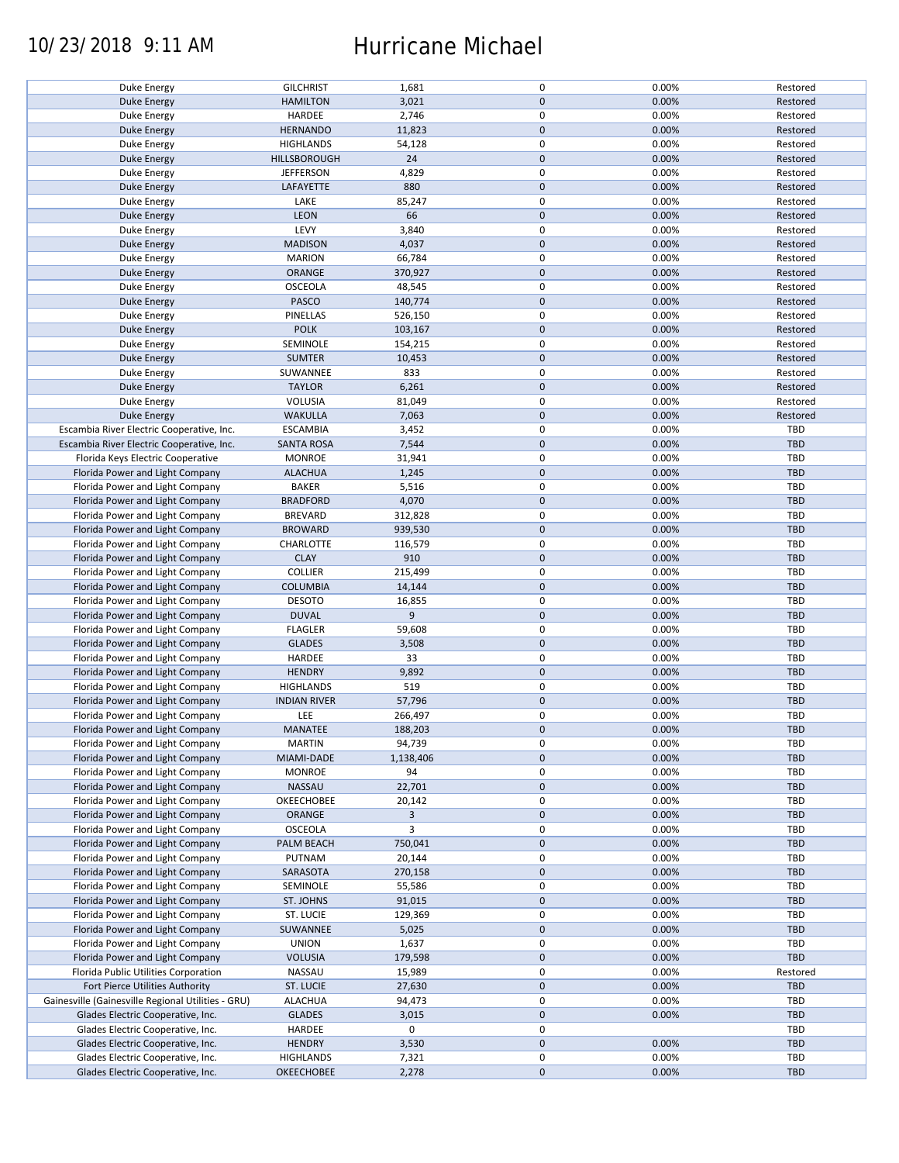### 10/23/2018 9:11 AM Hurricane Michael

| Duke Energy                                        | <b>GILCHRIST</b>    | 1,681          | 0                | 0.00% | Restored   |
|----------------------------------------------------|---------------------|----------------|------------------|-------|------------|
| Duke Energy                                        | <b>HAMILTON</b>     | 3,021          | $\mathbf 0$      | 0.00% | Restored   |
|                                                    | <b>HARDEE</b>       | 2,746          | $\mathsf 0$      | 0.00% |            |
| Duke Energy                                        |                     |                |                  |       | Restored   |
| <b>Duke Energy</b>                                 | <b>HERNANDO</b>     | 11,823         | $\mathbf 0$      | 0.00% | Restored   |
| Duke Energy                                        | <b>HIGHLANDS</b>    | 54,128         | $\mathsf 0$      | 0.00% | Restored   |
|                                                    |                     |                |                  |       |            |
| Duke Energy                                        | HILLSBOROUGH        | 24             | $\mathbf 0$      | 0.00% | Restored   |
| Duke Energy                                        | <b>JEFFERSON</b>    | 4,829          | $\mathbf 0$      | 0.00% | Restored   |
| Duke Energy                                        | LAFAYETTE           | 880            | $\mathbf 0$      | 0.00% | Restored   |
|                                                    |                     |                |                  |       |            |
| Duke Energy                                        | LAKE                | 85,247         | 0                | 0.00% | Restored   |
| Duke Energy                                        | <b>LEON</b>         | 66             | $\mathbf 0$      | 0.00% | Restored   |
|                                                    | LEVY                |                |                  |       |            |
| Duke Energy                                        |                     | 3,840          | 0                | 0.00% | Restored   |
| <b>Duke Energy</b>                                 | <b>MADISON</b>      | 4,037          | $\mathbf 0$      | 0.00% | Restored   |
| Duke Energy                                        | <b>MARION</b>       | 66,784         | $\mathsf 0$      | 0.00% | Restored   |
|                                                    |                     |                |                  |       |            |
| <b>Duke Energy</b>                                 | ORANGE              | 370,927        | $\mathbf 0$      | 0.00% | Restored   |
| Duke Energy                                        | OSCEOLA             | 48,545         | $\mathsf 0$      | 0.00% | Restored   |
| Duke Energy                                        | PASCO               | 140,774        | $\mathbf 0$      | 0.00% | Restored   |
|                                                    |                     |                |                  |       |            |
| Duke Energy                                        | PINELLAS            | 526,150        | 0                | 0.00% | Restored   |
| Duke Energy                                        | <b>POLK</b>         | 103,167        | $\mathbf 0$      | 0.00% | Restored   |
|                                                    |                     |                | $\mathsf 0$      |       |            |
| Duke Energy                                        | SEMINOLE            | 154,215        |                  | 0.00% | Restored   |
| Duke Energy                                        | <b>SUMTER</b>       | 10,453         | $\mathbf 0$      | 0.00% | Restored   |
| Duke Energy                                        | SUWANNEE            | 833            | $\mathsf 0$      | 0.00% | Restored   |
|                                                    |                     |                |                  |       |            |
| <b>Duke Energy</b>                                 | <b>TAYLOR</b>       | 6,261          | $\pmb{0}$        | 0.00% | Restored   |
| Duke Energy                                        | <b>VOLUSIA</b>      | 81,049         | $\mathsf 0$      | 0.00% | Restored   |
| <b>Duke Energy</b>                                 | WAKULLA             | 7,063          | $\mathbf 0$      | 0.00% | Restored   |
|                                                    |                     |                |                  |       |            |
| Escambia River Electric Cooperative, Inc.          | <b>ESCAMBIA</b>     | 3,452          | $\mathsf 0$      | 0.00% | TBD        |
| Escambia River Electric Cooperative, Inc.          | <b>SANTA ROSA</b>   | 7,544          | $\mathbf 0$      | 0.00% | <b>TBD</b> |
|                                                    |                     |                |                  |       |            |
| Florida Keys Electric Cooperative                  | <b>MONROE</b>       | 31,941         | 0                | 0.00% | TBD        |
| Florida Power and Light Company                    | <b>ALACHUA</b>      | 1,245          | $\mathbf 0$      | 0.00% | <b>TBD</b> |
| Florida Power and Light Company                    | <b>BAKER</b>        | 5,516          | $\pmb{0}$        | 0.00% | <b>TBD</b> |
|                                                    |                     |                |                  |       |            |
| Florida Power and Light Company                    | <b>BRADFORD</b>     | 4,070          | $\pmb{0}$        | 0.00% | TBD        |
| Florida Power and Light Company                    | BREVARD             | 312,828        | $\mathbf 0$      | 0.00% | TBD        |
| Florida Power and Light Company                    | <b>BROWARD</b>      | 939,530        | $\mathbf 0$      | 0.00% | <b>TBD</b> |
|                                                    |                     |                |                  |       |            |
| Florida Power and Light Company                    | CHARLOTTE           | 116,579        | $\mathsf 0$      | 0.00% | <b>TBD</b> |
| Florida Power and Light Company                    | <b>CLAY</b>         | 910            | $\mathbf 0$      | 0.00% | TBD        |
|                                                    |                     |                |                  |       |            |
| Florida Power and Light Company                    | <b>COLLIER</b>      | 215,499        | $\pmb{0}$        | 0.00% | TBD        |
| Florida Power and Light Company                    | <b>COLUMBIA</b>     | 14,144         | $\mathbf 0$      | 0.00% | <b>TBD</b> |
| Florida Power and Light Company                    | <b>DESOTO</b>       | 16,855         | $\mathsf 0$      | 0.00% | TBD        |
|                                                    |                     |                |                  |       |            |
| Florida Power and Light Company                    | <b>DUVAL</b>        | 9              | $\pmb{0}$        | 0.00% | TBD        |
| Florida Power and Light Company                    | <b>FLAGLER</b>      | 59,608         | $\pmb{0}$        | 0.00% | TBD        |
| Florida Power and Light Company                    | <b>GLADES</b>       | 3,508          | $\mathbf 0$      | 0.00% | <b>TBD</b> |
|                                                    |                     |                |                  |       |            |
| Florida Power and Light Company                    | HARDEE              | 33             | $\mathsf 0$      | 0.00% | TBD        |
| Florida Power and Light Company                    | <b>HENDRY</b>       | 9,892          | $\mathbf 0$      | 0.00% | <b>TBD</b> |
|                                                    |                     |                |                  |       |            |
| Florida Power and Light Company                    | <b>HIGHLANDS</b>    | 519            | $\pmb{0}$        | 0.00% | TBD        |
| Florida Power and Light Company                    | <b>INDIAN RIVER</b> | 57,796         | $\mathbf 0$      | 0.00% | <b>TBD</b> |
| Florida Power and Light Company                    | LEE                 | 266,497        | $\pmb{0}$        | 0.00% | TBD        |
|                                                    |                     |                |                  |       |            |
| Florida Power and Light Company                    | MANATEE             | 188,203        | $\mathbf 0$      | 0.00% | TBD        |
| Florida Power and Light Company                    | <b>MARTIN</b>       | 94,739         | 0                | 0.00% | TBD        |
|                                                    |                     |                |                  |       |            |
| Florida Power and Light Company                    | MIAMI-DADE          | 1,138,406      | $\mathbf 0$      | 0.00% | TBD        |
| Florida Power and Light Company                    | <b>MONROE</b>       | 94             | $\mathsf 0$      | 0.00% | TBD        |
| Florida Power and Light Company                    | NASSAU              | 22,701         | $\pmb{0}$        | 0.00% | <b>TBD</b> |
|                                                    |                     |                | 0                |       |            |
| Florida Power and Light Company                    | OKEECHOBEE          | 20,142         |                  | 0.00% | TBD        |
| Florida Power and Light Company                    | ORANGE              | $\overline{3}$ | $\mathbf 0$      | 0.00% | TBD        |
| Florida Power and Light Company                    | OSCEOLA             | 3              | $\mathsf 0$      | 0.00% | TBD        |
|                                                    |                     |                |                  |       |            |
| Florida Power and Light Company                    | PALM BEACH          | 750,041        | $\boldsymbol{0}$ | 0.00% | TBD        |
| Florida Power and Light Company                    | PUTNAM              | 20,144         | $\pmb{0}$        | 0.00% | TBD        |
| Florida Power and Light Company                    | SARASOTA            | 270,158        | $\mathbf 0$      | 0.00% | TBD        |
|                                                    |                     |                |                  |       |            |
| Florida Power and Light Company                    | SEMINOLE            | 55,586         | $\pmb{0}$        | 0.00% | TBD        |
| Florida Power and Light Company                    | ST. JOHNS           | 91,015         | $\pmb{0}$        | 0.00% | <b>TBD</b> |
| Florida Power and Light Company                    | ST. LUCIE           |                | 0                | 0.00% | TBD        |
|                                                    |                     | 129,369        |                  |       |            |
| Florida Power and Light Company                    | SUWANNEE            | 5,025          | $\mathbf 0$      | 0.00% | TBD        |
| Florida Power and Light Company                    | <b>UNION</b>        | 1,637          | $\mathsf 0$      | 0.00% | TBD        |
|                                                    |                     |                |                  |       |            |
| Florida Power and Light Company                    | <b>VOLUSIA</b>      | 179,598        | $\boldsymbol{0}$ | 0.00% | TBD        |
| Florida Public Utilities Corporation               | NASSAU              | 15,989         | $\pmb{0}$        | 0.00% | Restored   |
| Fort Pierce Utilities Authority                    | ST. LUCIE           | 27,630         | $\mathbf 0$      | 0.00% | TBD        |
|                                                    |                     |                |                  |       |            |
| Gainesville (Gainesville Regional Utilities - GRU) | ALACHUA             | 94,473         | $\mathsf 0$      | 0.00% | TBD        |
| Glades Electric Cooperative, Inc.                  | <b>GLADES</b>       | 3,015          | $\mathbf 0$      | 0.00% | TBD        |
|                                                    |                     |                |                  |       |            |
| Glades Electric Cooperative, Inc.                  | HARDEE              | 0              | 0                |       | TBD        |
| Glades Electric Cooperative, Inc.                  | <b>HENDRY</b>       | 3,530          | $\mathbf 0$      | 0.00% | TBD        |
| Glades Electric Cooperative, Inc.                  | <b>HIGHLANDS</b>    | 7,321          | 0                | 0.00% | TBD        |
|                                                    |                     |                |                  |       |            |
| Glades Electric Cooperative, Inc.                  | <b>OKEECHOBEE</b>   | 2,278          | $\mathbf 0$      | 0.00% | TBD        |